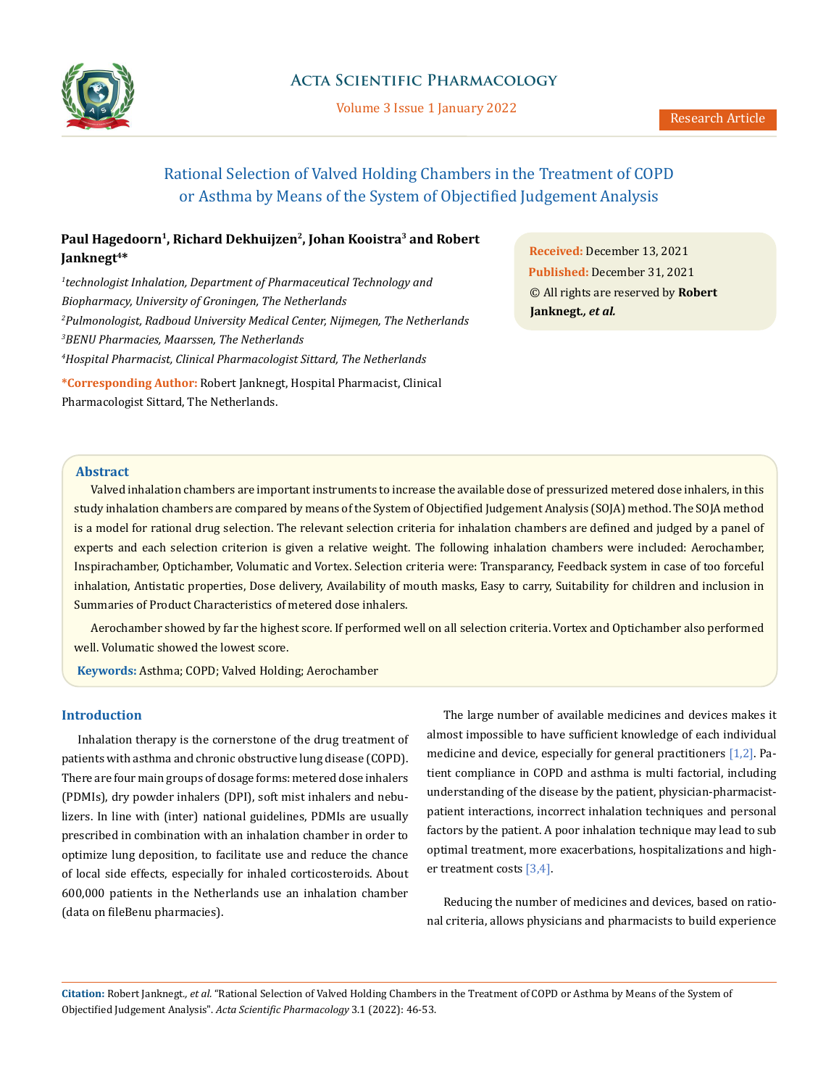

# **Acta Scientific Pharmacology**

Volume 3 Issue 1 January 2022

# Rational Selection of Valved Holding Chambers in the Treatment of COPD or Asthma by Means of the System of Objectified Judgement Analysis

# Paul Hagedoorn<sup>1</sup>, Richard Dekhuijzen<sup>2</sup>, Johan Kooistra<sup>3</sup> and Robert **Janknegt4\***

 *technologist Inhalation, Department of Pharmaceutical Technology and Biopharmacy, University of Groningen, The Netherlands Pulmonologist, Radboud University Medical Center, Nijmegen, The Netherlands BENU Pharmacies, Maarssen, The Netherlands Hospital Pharmacist, Clinical Pharmacologist Sittard, The Netherlands*

**\*Corresponding Author:** Robert Janknegt, Hospital Pharmacist, Clinical Pharmacologist Sittard, The Netherlands.

**Received:** December 13, 2021 **Published:** December 31, 2021 © All rights are reserved by **Robert Janknegt***., et al.*

### **Abstract**

Valved inhalation chambers are important instruments to increase the available dose of pressurized metered dose inhalers, in this study inhalation chambers are compared by means of the System of Objectified Judgement Analysis (SOJA) method. The SOJA method is a model for rational drug selection. The relevant selection criteria for inhalation chambers are defined and judged by a panel of experts and each selection criterion is given a relative weight. The following inhalation chambers were included: Aerochamber, Inspirachamber, Optichamber, Volumatic and Vortex. Selection criteria were: Transparancy, Feedback system in case of too forceful inhalation, Antistatic properties, Dose delivery, Availability of mouth masks, Easy to carry, Suitability for children and inclusion in Summaries of Product Characteristics of metered dose inhalers.

Aerochamber showed by far the highest score. If performed well on all selection criteria. Vortex and Optichamber also performed well. Volumatic showed the lowest score.

 **Keywords:** Asthma; COPD; Valved Holding; Aerochamber

## **Introduction**

Inhalation therapy is the cornerstone of the drug treatment of patients with asthma and chronic obstructive lung disease (COPD). There are four main groups of dosage forms: metered dose inhalers (PDMIs), dry powder inhalers (DPI), soft mist inhalers and nebulizers. In line with (inter) national guidelines, PDMIs are usually prescribed in combination with an inhalation chamber in order to optimize lung deposition, to facilitate use and reduce the chance of local side effects, especially for inhaled corticosteroids. About 600,000 patients in the Netherlands use an inhalation chamber (data on fileBenu pharmacies).

The large number of available medicines and devices makes it almost impossible to have sufficient knowledge of each individual medicine and device, especially for general practitioners [1,2]. Patient compliance in COPD and asthma is multi factorial, including understanding of the disease by the patient, physician-pharmacistpatient interactions, incorrect inhalation techniques and personal factors by the patient. A poor inhalation technique may lead to sub optimal treatment, more exacerbations, hospitalizations and higher treatment costs [3,4].

Reducing the number of medicines and devices, based on rational criteria, allows physicians and pharmacists to build experience

**Citation:** Robert Janknegt*., et al.* "Rational Selection of Valved Holding Chambers in the Treatment of COPD or Asthma by Means of the System of Objectified Judgement Analysis". *Acta Scientific Pharmacology* 3.1 (2022): 46-53.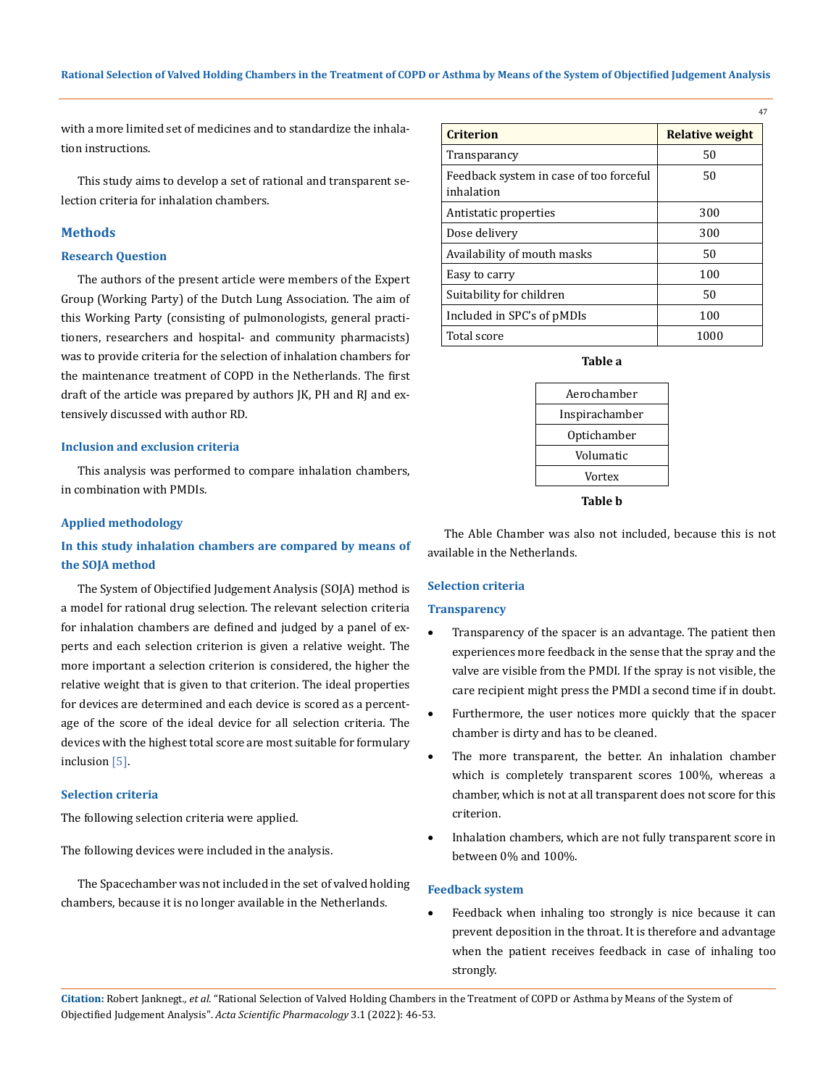with a more limited set of medicines and to standardize the inhalation instructions.

This study aims to develop a set of rational and transparent selection criteria for inhalation chambers.

# **Methods**

## **Research Question**

The authors of the present article were members of the Expert Group (Working Party) of the Dutch Lung Association. The aim of this Working Party (consisting of pulmonologists, general practitioners, researchers and hospital- and community pharmacists) was to provide criteria for the selection of inhalation chambers for the maintenance treatment of COPD in the Netherlands. The first draft of the article was prepared by authors JK, PH and RJ and extensively discussed with author RD.

## **Inclusion and exclusion criteria**

This analysis was performed to compare inhalation chambers, in combination with PMDIs.

### **Applied methodology**

# **In this study inhalation chambers are compared by means of the SOJA method**

The System of Objectified Judgement Analysis (SOJA) method is a model for rational drug selection. The relevant selection criteria for inhalation chambers are defined and judged by a panel of experts and each selection criterion is given a relative weight. The more important a selection criterion is considered, the higher the relative weight that is given to that criterion. The ideal properties for devices are determined and each device is scored as a percentage of the score of the ideal device for all selection criteria. The devices with the highest total score are most suitable for formulary inclusion [5].

### **Selection criteria**

The following selection criteria were applied.

The following devices were included in the analysis.

The Spacechamber was not included in the set of valved holding chambers, because it is no longer available in the Netherlands.

| <b>Criterion</b>                                      | <b>Relative weight</b> |
|-------------------------------------------------------|------------------------|
| Transparancy                                          | 50                     |
| Feedback system in case of too forceful<br>inhalation | 50                     |
| Antistatic properties                                 | 300                    |
| Dose delivery                                         | 300                    |
| Availability of mouth masks                           | 50                     |
| Easy to carry                                         | 100                    |
| Suitability for children                              | 50                     |
| Included in SPC's of pMDIs                            | 100                    |
| Total score                                           | 1000                   |

47

**Table a**

| Aerochamber    |  |
|----------------|--|
| Inspirachamber |  |
| Optichamber    |  |
| Volumatic      |  |
| Vortex         |  |
|                |  |

**Table b**

The Able Chamber was also not included, because this is not available in the Netherlands.

# **Selection criteria**

## **Transparency**

- Transparency of the spacer is an advantage. The patient then experiences more feedback in the sense that the spray and the valve are visible from the PMDI. If the spray is not visible, the care recipient might press the PMDI a second time if in doubt.
- Furthermore, the user notices more quickly that the spacer chamber is dirty and has to be cleaned.
- The more transparent, the better. An inhalation chamber which is completely transparent scores 100%, whereas a chamber, which is not at all transparent does not score for this criterion.
- Inhalation chambers, which are not fully transparent score in between 0% and 100%.

### **Feedback system**

Feedback when inhaling too strongly is nice because it can prevent deposition in the throat. It is therefore and advantage when the patient receives feedback in case of inhaling too strongly.

**Citation:** Robert Janknegt*., et al.* "Rational Selection of Valved Holding Chambers in the Treatment of COPD or Asthma by Means of the System of Objectified Judgement Analysis". *Acta Scientific Pharmacology* 3.1 (2022): 46-53.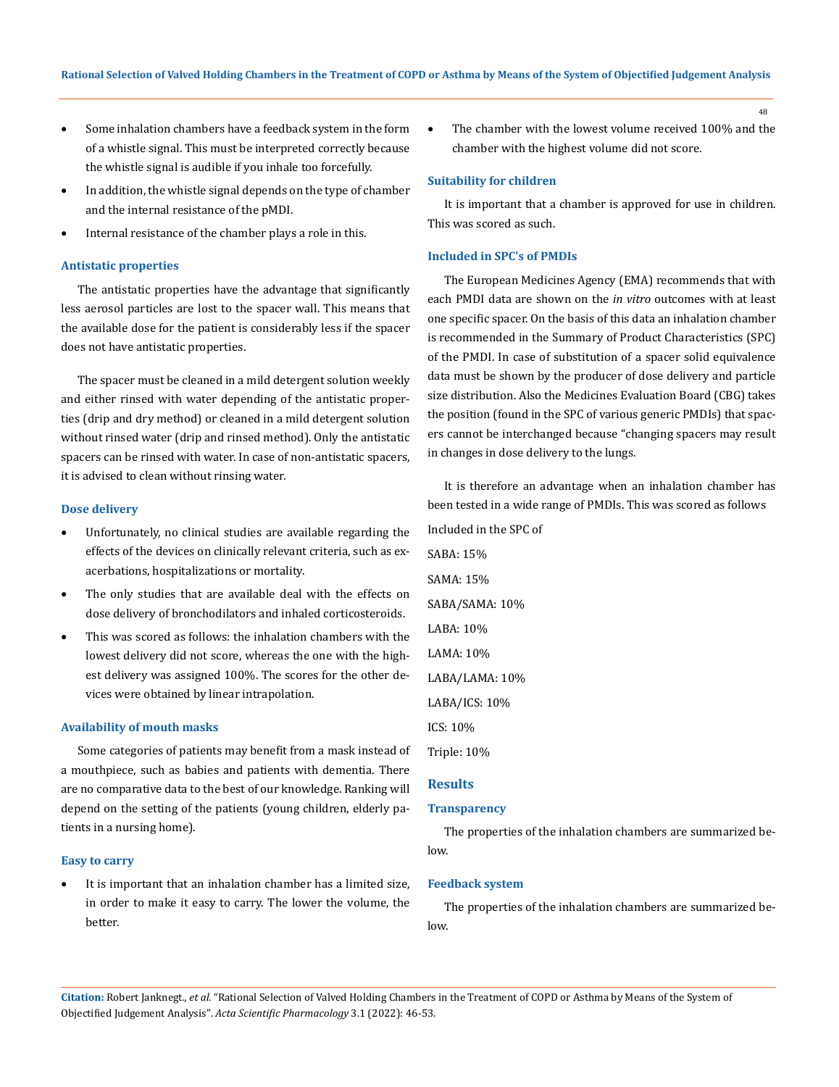- Some inhalation chambers have a feedback system in the form of a whistle signal. This must be interpreted correctly because the whistle signal is audible if you inhale too forcefully.
- In addition, the whistle signal depends on the type of chamber and the internal resistance of the pMDI.
- Internal resistance of the chamber plays a role in this.

#### **Antistatic properties**

The antistatic properties have the advantage that significantly less aerosol particles are lost to the spacer wall. This means that the available dose for the patient is considerably less if the spacer does not have antistatic properties.

The spacer must be cleaned in a mild detergent solution weekly and either rinsed with water depending of the antistatic properties (drip and dry method) or cleaned in a mild detergent solution without rinsed water (drip and rinsed method). Only the antistatic spacers can be rinsed with water. In case of non-antistatic spacers, it is advised to clean without rinsing water.

#### **Dose delivery**

- Unfortunately, no clinical studies are available regarding the effects of the devices on clinically relevant criteria, such as exacerbations, hospitalizations or mortality.
- The only studies that are available deal with the effects on dose delivery of bronchodilators and inhaled corticosteroids.
- This was scored as follows: the inhalation chambers with the lowest delivery did not score, whereas the one with the highest delivery was assigned 100%. The scores for the other devices were obtained by linear intrapolation.

#### **Availability of mouth masks**

Some categories of patients may benefit from a mask instead of a mouthpiece, such as babies and patients with dementia. There are no comparative data to the best of our knowledge. Ranking will depend on the setting of the patients (young children, elderly patients in a nursing home).

#### **Easy to carry**

It is important that an inhalation chamber has a limited size, in order to make it easy to carry. The lower the volume, the better.

The chamber with the lowest volume received 100% and the chamber with the highest volume did not score.

#### **Suitability for children**

It is important that a chamber is approved for use in children. This was scored as such.

## **Included in SPC's of PMDIs**

The European Medicines Agency (EMA) recommends that with each PMDI data are shown on the *in vitro* outcomes with at least one specific spacer. On the basis of this data an inhalation chamber is recommended in the Summary of Product Characteristics (SPC) of the PMDI. In case of substitution of a spacer solid equivalence data must be shown by the producer of dose delivery and particle size distribution. Also the Medicines Evaluation Board (CBG) takes the position (found in the SPC of various generic PMDIs) that spacers cannot be interchanged because "changing spacers may result in changes in dose delivery to the lungs.

It is therefore an advantage when an inhalation chamber has been tested in a wide range of PMDIs. This was scored as follows Included in the SPC of SABA: 15% SAMA: 15% SABA/SAMA: 10% LABA: 10% LAMA: 10% LABA/LAMA: 10% LABA/ICS: 10% ICS: 10% Triple: 10% **Results**

# **Transparency**

The properties of the inhalation chambers are summarized below.

#### **Feedback system**

The properties of the inhalation chambers are summarized below.

**Citation:** Robert Janknegt*., et al.* "Rational Selection of Valved Holding Chambers in the Treatment of COPD or Asthma by Means of the System of Objectified Judgement Analysis". *Acta Scientific Pharmacology* 3.1 (2022): 46-53.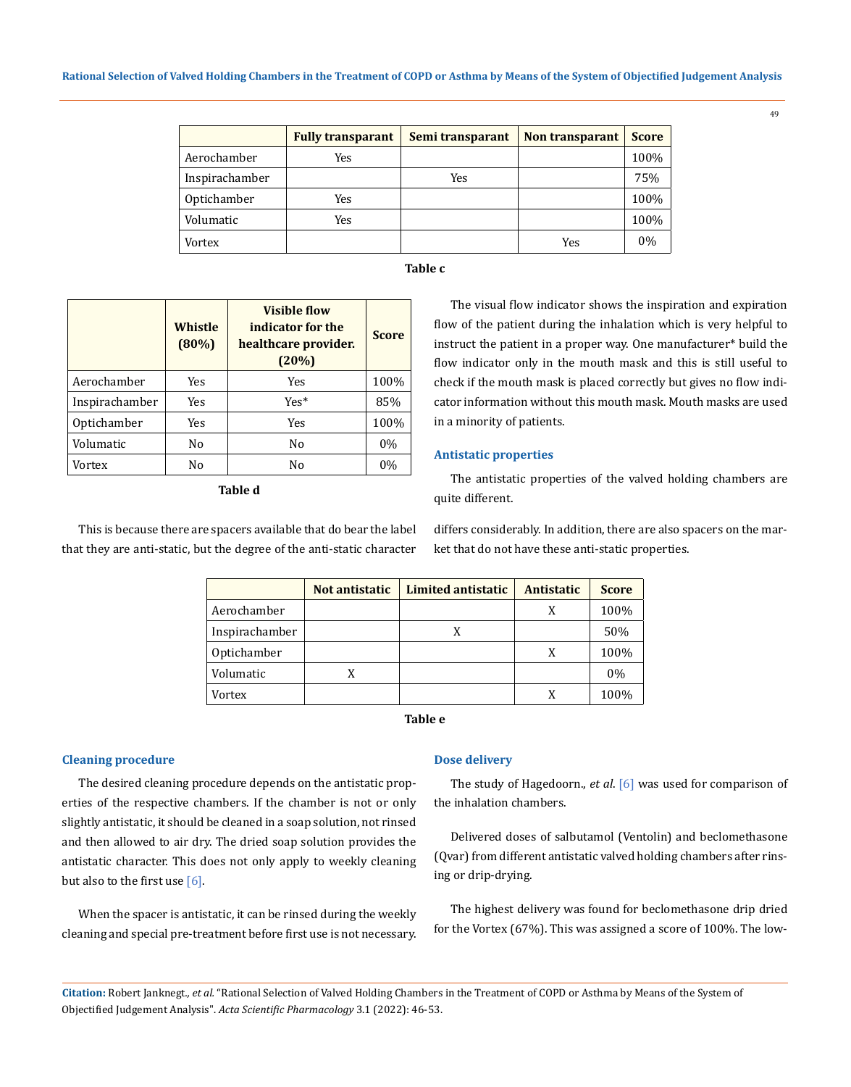|                | <b>Fully transparant</b> | Semi transparant | <b>Non transparant</b> | <b>Score</b> |
|----------------|--------------------------|------------------|------------------------|--------------|
| Aerochamber    | Yes                      |                  |                        | 100%         |
| Inspirachamber |                          | Yes              |                        | 75%          |
| Optichamber    | Yes                      |                  |                        | 100%         |
| Volumatic      | Yes                      |                  |                        | 100%         |
| Vortex         |                          |                  | Yes                    | 0%           |

### **Table c**

|                | Whistle<br>$(80\%)$ | <b>Visible flow</b><br>indicator for the<br>healthcare provider.<br>(20%) | <b>Score</b> |
|----------------|---------------------|---------------------------------------------------------------------------|--------------|
| Aerochamber    | Yes                 | Yes                                                                       | 100%         |
| Inspirachamber | Yes                 | $Yes*$                                                                    | 85%          |
| Optichamber    | Yes                 | Yes                                                                       | 100%         |
| Volumatic      | No                  | No                                                                        | $0\%$        |
| Vortex         | No                  | No                                                                        | 0%           |

**Table d**

This is because there are spacers available that do bear the label that they are anti-static, but the degree of the anti-static character

The visual flow indicator shows the inspiration and expiration flow of the patient during the inhalation which is very helpful to instruct the patient in a proper way. One manufacturer\* build the flow indicator only in the mouth mask and this is still useful to check if the mouth mask is placed correctly but gives no flow indicator information without this mouth mask. Mouth masks are used in a minority of patients.

#### **Antistatic properties**

The antistatic properties of the valved holding chambers are quite different.

differs considerably. In addition, there are also spacers on the market that do not have these anti-static properties.

|                | Not antistatic | <b>Limited antistatic</b> | Antistatic | <b>Score</b> |
|----------------|----------------|---------------------------|------------|--------------|
| Aerochamber    |                |                           | X          | 100%         |
| Inspirachamber |                | X                         |            | 50%          |
| Optichamber    |                |                           | X          | 100%         |
| Volumatic      |                |                           |            | 0%           |
| Vortex         |                |                           |            | 100%         |

**Table e**

#### **Cleaning procedure**

The desired cleaning procedure depends on the antistatic properties of the respective chambers. If the chamber is not or only slightly antistatic, it should be cleaned in a soap solution, not rinsed and then allowed to air dry. The dried soap solution provides the antistatic character. This does not only apply to weekly cleaning but also to the first use  $[6]$ .

When the spacer is antistatic, it can be rinsed during the weekly cleaning and special pre-treatment before first use is not necessary.

#### **Dose delivery**

The study of Hagedoorn., *et al*. [6] was used for comparison of the inhalation chambers.

Delivered doses of salbutamol (Ventolin) and beclomethasone (Qvar) from different antistatic valved holding chambers after rinsing or drip-drying.

The highest delivery was found for beclomethasone drip dried for the Vortex (67%). This was assigned a score of 100%. The low-

**Citation:** Robert Janknegt*., et al.* "Rational Selection of Valved Holding Chambers in the Treatment of COPD or Asthma by Means of the System of Objectified Judgement Analysis". *Acta Scientific Pharmacology* 3.1 (2022): 46-53.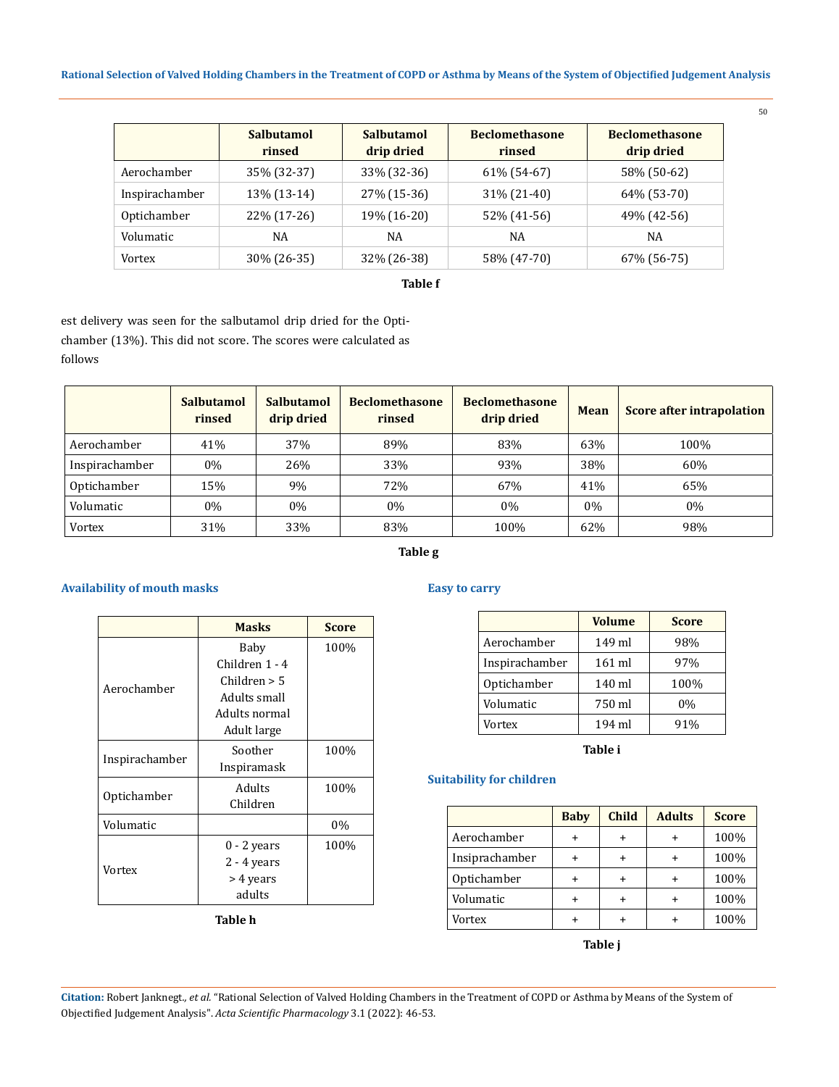## **Rational Selection of Valved Holding Chambers in the Treatment of COPD or Asthma by Means of the System of Objectified Judgement Analysis**

|                | <b>Salbutamol</b><br>rinsed | Salbutamol<br>drip dried | <b>Beclomethasone</b><br>rinsed | <b>Beclomethasone</b><br>drip dried |
|----------------|-----------------------------|--------------------------|---------------------------------|-------------------------------------|
| Aerochamber    | 35% (32-37)                 | 33% (32-36)              | 61% (54-67)                     | 58% (50-62)                         |
| Inspirachamber | 13% (13-14)                 | 27% (15-36)              | 31% (21-40)                     | 64% (53-70)                         |
| Optichamber    | 22% (17-26)                 | 19% (16-20)              | 52% (41-56)                     | 49% (42-56)                         |
| Volumatic      | NA                          | NA                       | NA                              | NA                                  |
| Vortex         | 30% (26-35)                 | 32% (26-38)              | 58% (47-70)                     | 67% (56-75)                         |

## **Table f**

est delivery was seen for the salbutamol drip dried for the Optichamber (13%). This did not score. The scores were calculated as follows

|                | Salbutamol<br>rinsed | <b>Salbutamol</b><br>drip dried | <b>Beclomethasone</b><br>rinsed | <b>Beclomethasone</b><br>drip dried | <b>Mean</b> | <b>Score after intrapolation</b> |
|----------------|----------------------|---------------------------------|---------------------------------|-------------------------------------|-------------|----------------------------------|
| Aerochamber    | 41%                  | 37%                             | 89%                             | 83%                                 | 63%         | 100%                             |
| Inspirachamber | $0\%$                | 26%                             | 33%                             | 93%                                 | 38%         | 60%                              |
| Optichamber    | 15%                  | 9%                              | 72%                             | 67%                                 | 41%         | 65%                              |
| Volumatic      | $0\%$                | $0\%$                           | $0\%$                           | $0\%$                               | $0\%$       | $0\%$                            |
| Vortex         | 31%                  | 33%                             | 83%                             | 100%                                | 62%         | 98%                              |

# **Table g**

# **Availability of mouth masks**

|                | <b>Masks</b>   | <b>Score</b> |
|----------------|----------------|--------------|
| Aerochamber    | Baby           | 100%         |
|                | Children 1 - 4 |              |
|                | Children $> 5$ |              |
|                | Adults small   |              |
|                | Adults normal  |              |
|                | Adult large    |              |
|                | Soother        | 100%         |
| Inspirachamber | Inspiramask    |              |
|                | Adults         | 100%         |
| Optichamber    | Children       |              |
| Volumatic      |                | $0\%$        |
|                | 0 - 2 years    | 100%         |
| Vortex         | $2 - 4$ years  |              |
|                | > 4 years      |              |
|                | adults         |              |

**Table h**

# **Easy to carry**

|                | <b>Volume</b>    | <b>Score</b> |
|----------------|------------------|--------------|
| Aerochamber    | 149 ml           | 98%          |
| Inspirachamber | $161$ ml         | 97%          |
| Optichamber    | 140 ml           | 100%         |
| Volumatic      | 750 ml           | $0\%$        |
| Vortex         | $194 \text{ ml}$ | 91%          |

**Table i**

# **Suitability for children**

|                | <b>Baby</b> | <b>Child</b> | <b>Adults</b> | <b>Score</b> |
|----------------|-------------|--------------|---------------|--------------|
| Aerochamber    |             |              |               | 100%         |
| Insiprachamber |             |              |               | 100%         |
| Optichamber    |             |              |               | 100%         |
| Volumatic      |             | $\ddot{}$    |               | 100%         |
| Vortex         |             |              |               | 100%         |

**Table j**

**Citation:** Robert Janknegt*., et al.* "Rational Selection of Valved Holding Chambers in the Treatment of COPD or Asthma by Means of the System of Objectified Judgement Analysis". *Acta Scientific Pharmacology* 3.1 (2022): 46-53.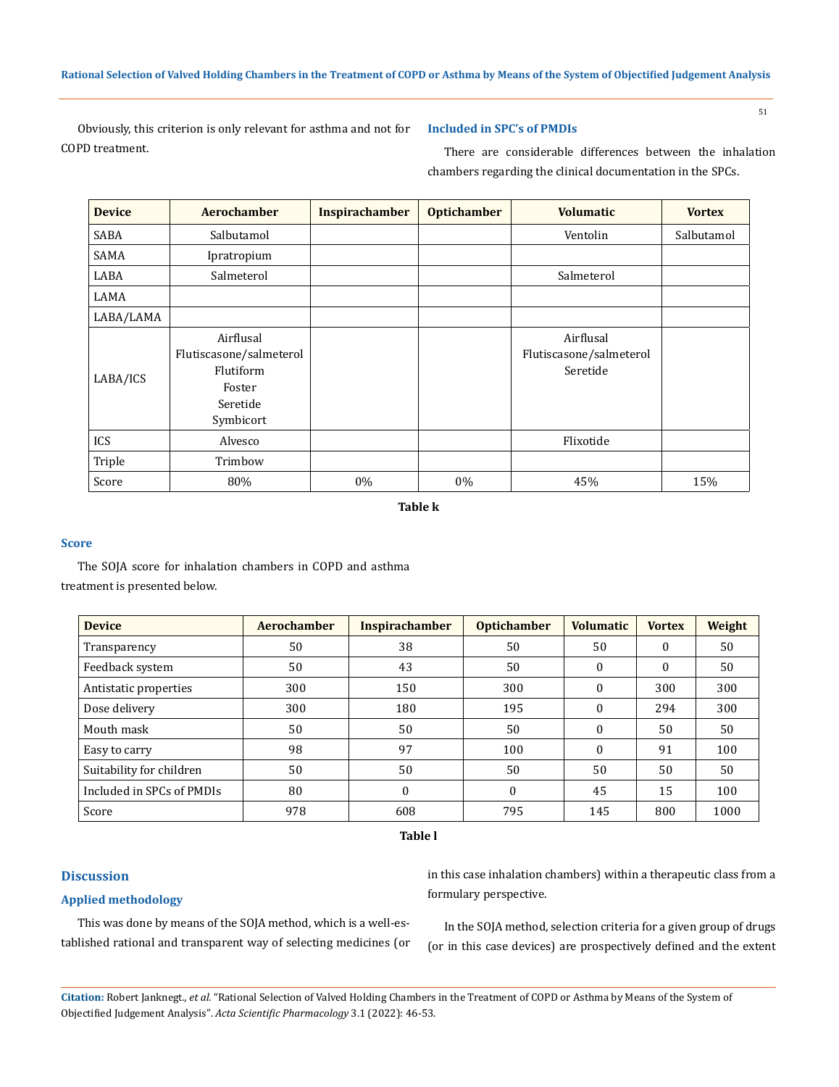Obviously, this criterion is only relevant for asthma and not for COPD treatment.

## **Included in SPC's of PMDIs**

51

There are considerable differences between the inhalation chambers regarding the clinical documentation in the SPCs.

| <b>Device</b> | <b>Aerochamber</b>                                                                   | <b>Inspirachamber</b> | <b>Optichamber</b> | <b>Volumatic</b>                                 | <b>Vortex</b> |
|---------------|--------------------------------------------------------------------------------------|-----------------------|--------------------|--------------------------------------------------|---------------|
| SABA          | Salbutamol                                                                           |                       |                    | Ventolin                                         | Salbutamol    |
| SAMA          | Ipratropium                                                                          |                       |                    |                                                  |               |
| LABA          | Salmeterol                                                                           |                       |                    | Salmeterol                                       |               |
| LAMA          |                                                                                      |                       |                    |                                                  |               |
| LABA/LAMA     |                                                                                      |                       |                    |                                                  |               |
| LABA/ICS      | Airflusal<br>Flutiscasone/salmeterol<br>Flutiform<br>Foster<br>Seretide<br>Symbicort |                       |                    | Airflusal<br>Flutiscasone/salmeterol<br>Seretide |               |
| ICS           | Alvesco                                                                              |                       |                    | Flixotide                                        |               |
| Triple        | Trimbow                                                                              |                       |                    |                                                  |               |
| Score         | 80%                                                                                  | 0%                    | 0%                 | 45%                                              | 15%           |

**Table k**

#### **Score**

The SOJA score for inhalation chambers in COPD and asthma treatment is presented below.

| <b>Device</b>             | Aerochamber | <b>Inspirachamber</b> | <b>Optichamber</b> | <b>Volumatic</b> | <b>Vortex</b> | Weight |
|---------------------------|-------------|-----------------------|--------------------|------------------|---------------|--------|
| Transparency              | 50          | 38                    | 50                 | 50               | $\theta$      | 50     |
| Feedback system           | 50          | 43                    | 50                 | $\Omega$         | $\mathbf{0}$  | 50     |
| Antistatic properties     | 300         | 150                   | 300                | $\Omega$         | 300           | 300    |
| Dose delivery             | 300         | 180                   | 195                | $\theta$         | 294           | 300    |
| Mouth mask                | 50          | 50                    | 50                 | $\Omega$         | 50            | 50     |
| Easy to carry             | 98          | 97                    | 100                | $\Omega$         | 91            | 100    |
| Suitability for children  | 50          | 50                    | 50                 | 50               | 50            | 50     |
| Included in SPCs of PMDIs | 80          | $\theta$              | $\Omega$           | 45               | 15            | 100    |
| Score                     | 978         | 608                   | 795                | 145              | 800           | 1000   |

**Table l**

# **Discussion**

# **Applied methodology**

This was done by means of the SOJA method, which is a well-established rational and transparent way of selecting medicines (or in this case inhalation chambers) within a therapeutic class from a formulary perspective.

In the SOJA method, selection criteria for a given group of drugs (or in this case devices) are prospectively defined and the extent

**Citation:** Robert Janknegt*., et al.* "Rational Selection of Valved Holding Chambers in the Treatment of COPD or Asthma by Means of the System of Objectified Judgement Analysis". *Acta Scientific Pharmacology* 3.1 (2022): 46-53.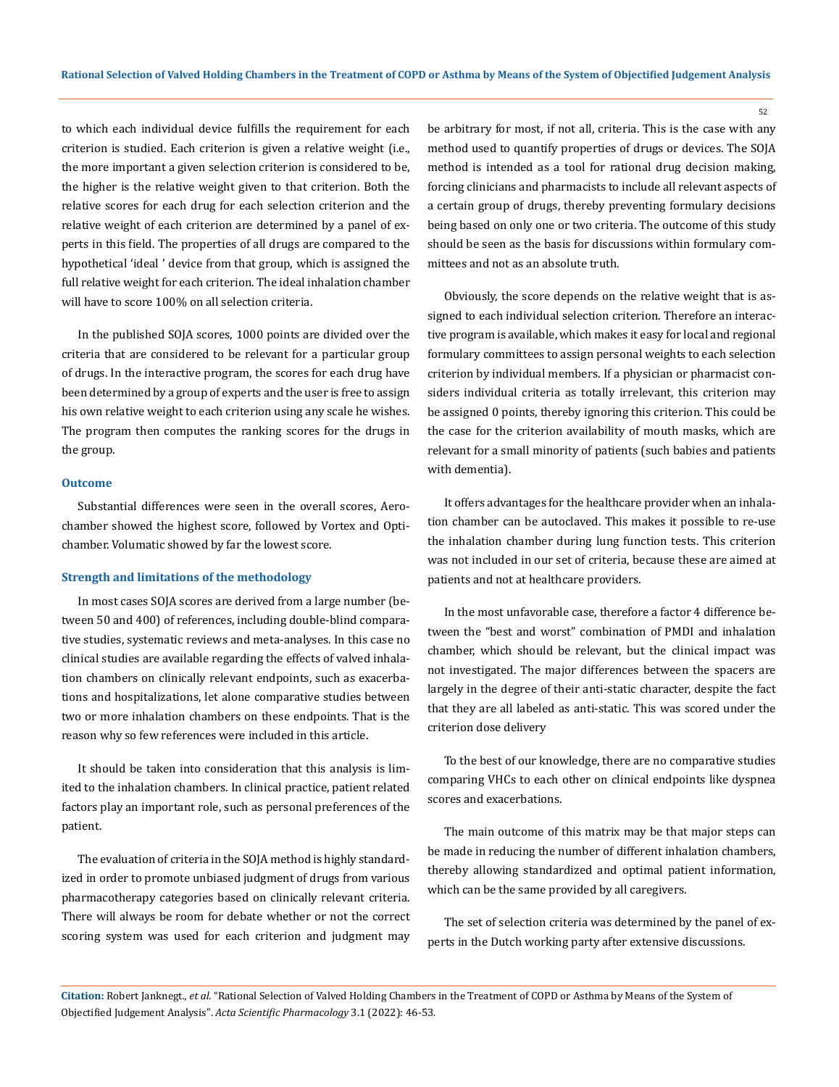to which each individual device fulfills the requirement for each criterion is studied. Each criterion is given a relative weight (i.e., the more important a given selection criterion is considered to be, the higher is the relative weight given to that criterion. Both the relative scores for each drug for each selection criterion and the relative weight of each criterion are determined by a panel of experts in this field. The properties of all drugs are compared to the hypothetical 'ideal ' device from that group, which is assigned the full relative weight for each criterion. The ideal inhalation chamber will have to score 100% on all selection criteria.

In the published SOJA scores, 1000 points are divided over the criteria that are considered to be relevant for a particular group of drugs. In the interactive program, the scores for each drug have been determined by a group of experts and the user is free to assign his own relative weight to each criterion using any scale he wishes. The program then computes the ranking scores for the drugs in the group.

### **Outcome**

Substantial differences were seen in the overall scores, Aerochamber showed the highest score, followed by Vortex and Optichamber. Volumatic showed by far the lowest score.

### **Strength and limitations of the methodology**

In most cases SOJA scores are derived from a large number (between 50 and 400) of references, including double-blind comparative studies, systematic reviews and meta-analyses. In this case no clinical studies are available regarding the effects of valved inhalation chambers on clinically relevant endpoints, such as exacerbations and hospitalizations, let alone comparative studies between two or more inhalation chambers on these endpoints. That is the reason why so few references were included in this article.

It should be taken into consideration that this analysis is limited to the inhalation chambers. In clinical practice, patient related factors play an important role, such as personal preferences of the patient.

The evaluation of criteria in the SOJA method is highly standardized in order to promote unbiased judgment of drugs from various pharmacotherapy categories based on clinically relevant criteria. There will always be room for debate whether or not the correct scoring system was used for each criterion and judgment may be arbitrary for most, if not all, criteria. This is the case with any method used to quantify properties of drugs or devices. The SOJA method is intended as a tool for rational drug decision making, forcing clinicians and pharmacists to include all relevant aspects of a certain group of drugs, thereby preventing formulary decisions being based on only one or two criteria. The outcome of this study should be seen as the basis for discussions within formulary committees and not as an absolute truth.

Obviously, the score depends on the relative weight that is assigned to each individual selection criterion. Therefore an interactive program is available, which makes it easy for local and regional formulary committees to assign personal weights to each selection criterion by individual members. If a physician or pharmacist considers individual criteria as totally irrelevant, this criterion may be assigned 0 points, thereby ignoring this criterion. This could be the case for the criterion availability of mouth masks, which are relevant for a small minority of patients (such babies and patients with dementia).

It offers advantages for the healthcare provider when an inhalation chamber can be autoclaved. This makes it possible to re-use the inhalation chamber during lung function tests. This criterion was not included in our set of criteria, because these are aimed at patients and not at healthcare providers.

In the most unfavorable case, therefore a factor 4 difference between the "best and worst" combination of PMDI and inhalation chamber, which should be relevant, but the clinical impact was not investigated. The major differences between the spacers are largely in the degree of their anti-static character, despite the fact that they are all labeled as anti-static. This was scored under the criterion dose delivery

To the best of our knowledge, there are no comparative studies comparing VHCs to each other on clinical endpoints like dyspnea scores and exacerbations.

The main outcome of this matrix may be that major steps can be made in reducing the number of different inhalation chambers, thereby allowing standardized and optimal patient information, which can be the same provided by all caregivers.

The set of selection criteria was determined by the panel of experts in the Dutch working party after extensive discussions.

**Citation:** Robert Janknegt*., et al.* "Rational Selection of Valved Holding Chambers in the Treatment of COPD or Asthma by Means of the System of Objectified Judgement Analysis". *Acta Scientific Pharmacology* 3.1 (2022): 46-53.